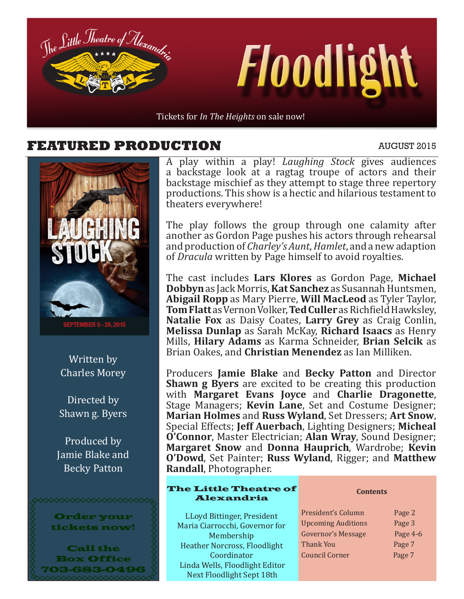

#### **FEATURED PRODUCTION** AUGUST 2015



Written by Charles Morey

Directed by Shawn g. Byers

Produced by Jamie Blake and Becky Patton



A play within a play! *Laughing Stock* gives audiences a backstage look at a ragtag troupe of actors and their backstage mischief as they attempt to stage three repertory productions. This show is a hectic and hilarious testament to theaters everywhere!

The play follows the group through one calamity after another as Gordon Page pushes his actors through rehearsal and production of *Charley's Aunt*, *Hamlet*, and a new adaption of *Dracula* written by Page himself to avoid royalties.

The cast includes **Lars Klores** as Gordon Page, **Michael Dobbyn** as Jack Morris, **Kat Sanchez** as Susannah Huntsmen, **Abigail Ropp** as Mary Pierre, **Will MacLeod** as Tyler Taylor, **Tom Flatt** as Vernon Volker, **Ted Culler** as Richfield Hawksley, **Natalie Fox** as Daisy Coates, **Larry Grey** as Craig Conlin, **Melissa Dunlap** as Sarah McKay, **Richard Isaacs** as Henry Mills, **Hilary Adams** as Karma Schneider, **Brian Selcik** as Brian Oakes, and **Christian Menendez** as Ian Milliken.

Producers **Jamie Blake** and **Becky Patton** and Director **Shawn g Byers** are excited to be creating this production with **Margaret Evans Joyce** and **Charlie Dragonette**, Stage Managers; **Kevin Lane**, Set and Costume Designer; **Marian Holmes** and **Russ Wyland**, Set Dressers; **Art Snow**, Special Effects; **Jeff Auerbach**, Lighting Designers; **Micheal O'Connor**, Master Electrician; **Alan Wray**, Sound Designer; **Margaret Snow** and **Donna Hauprich**, Wardrobe; **Kevin O'Dowd**, Set Painter; **Russ Wyland**, Rigger; and **Matthew Randall**, Photographer.

#### The Little Theatre of Alexandria

LLoyd Bittinger, President Maria Ciarrocchi, Governor for Membership Heather Norcross, Floodlight Coordinator Linda Wells, Floodlight Editor Next Floodlight Sept 18th

#### **Contents**

President's Column Page 2 Upcoming Auditions Page 3 Governor's Message Page 4-6 Thank You **Page 7** Council Corner Page 7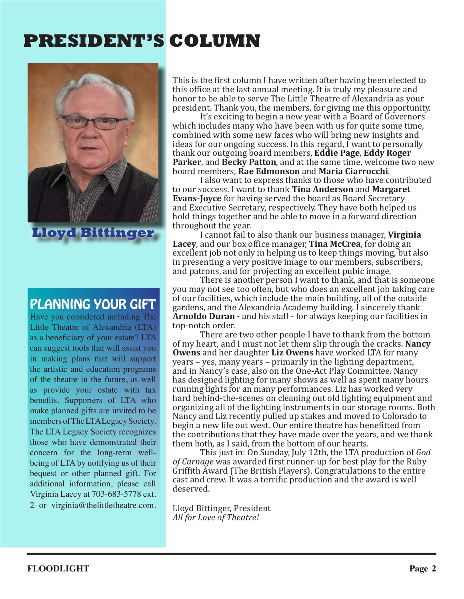## **PRESIDENT'S COLUMN**



**Lloyd Bittinger**

### PLANNING YOUR GIFT

Have you considered including The Little Theatre of Alexandria (LTA) as a beneficiary of your estate? LTA can suggest tools that will assist you in making plans that will support the artistic and education programs of the theatre in the future, as well as provide your estate with tax benefits. Supporters of LTA who make planned gifts are invited to be members of The LTA Legacy Society. The LTA Legacy Society recognizes those who have demonstrated their concern for the long-term wellbeing of LTA by notifying us of their bequest or other planned gift. For additional information, please call Virginia Lacey at 703-683-5778 ext. 2 or virginia@thelittletheatre.com. This is the first column I have written after having been elected to this office at the last annual meeting. It is truly my pleasure and honor to be able to serve The Little Theatre of Alexandria as your president. Thank you, the members, for giving me this opportunity.

It's exciting to begin a new year with a Board of Governors which includes many who have been with us for quite some time, combined with some new faces who will bring new insights and ideas for our ongoing success. In this regard, I want to personally thank our outgoing board members, **Eddie Page**, **Eddy Roger Parker**, and **Becky Patton**, and at the same time, welcome two new board members, **Rae Edmonson** and **Maria Ciarrocchi**.

I also want to express thanks to those who have contributed to our success. I want to thank **Tina Anderson** and **Margaret Evans-Joyce** for having served the board as Board Secretary and Executive Secretary, respectively. They have both helped us hold things together and be able to move in a forward direction throughout the year.

I cannot fail to also thank our business manager, **Virginia Lacey**, and our box office manager, **Tina McCrea**, for doing an excellent job not only in helping us to keep things moving, but also in presenting a very positive image to our members, subscribers, and patrons, and for projecting an excellent pubic image.

There is another person I want to thank, and that is someone you may not see too often, but who does an excellent job taking care of our facilities, which include the main building, all of the outside gardens, and the Alexandria Academy building. I sincerely thank **Arnoldo Duran** - and his staff - for always keeping our facilities in top-notch order.

There are two other people I have to thank from the bottom of my heart, and I must not let them slip through the cracks. **Nancy Owens** and her daughter **Liz Owens** have worked LTA for many years – yes, many years – primarily in the lighting department, and in Nancy's case, also on the One-Act Play Committee. Nancy has designed lighting for many shows as well as spent many hours running lights for an many performances. Liz has worked very hard behind-the-scenes on cleaning out old lighting equipment and organizing all of the lighting instruments in our storage rooms. Both Nancy and Liz recently pulled up stakes and moved to Colorado to begin a new life out west. Our entire theatre has benefitted from the contributions that they have made over the years, and we thank them both, as I said, from the bottom of our hearts.

This just in: On Sunday, July 12th, the LTA production of *God of Carnage* was awarded first runner-up for best play for the Ruby Griffith Award (The British Players). Congratulations to the entire cast and crew. It was a terrific production and the award is well deserved.

Lloyd Bittinger, President *All for Love of Theatre!*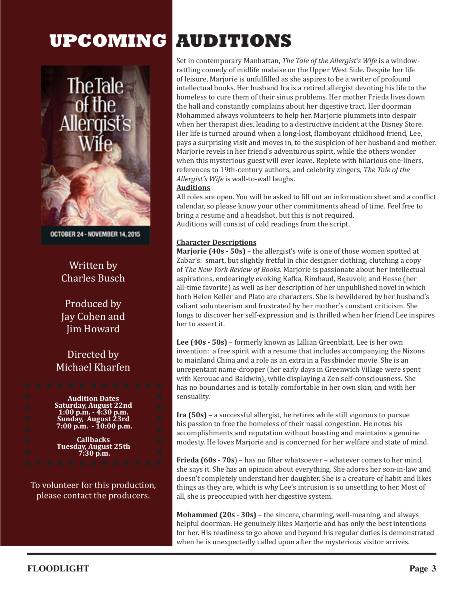# **UPCOMING AUDITIONS**



OCTOBER 24 - NOVEMBER 14, 2015

#### Written by Charles Busch

Produced by Jay Cohen and Jim Howard

#### Directed by Michael Kharfen

**Audition Dates Saturday, August 22nd 1:00 p.m. - 4:30 p.m. Sunday, August 23rd 7:00 p.m. - 10:00 p.m.**

**Callbacks Tuesday, August 25th 7:30 p.m.**

To volunteer for this production, please contact the producers.

Set in contemporary Manhattan, *The Tale of the Allergist's Wife* is a windowrattling comedy of midlife malaise on the Upper West Side. Despite her life of leisure, Marjorie is unfulfilled as she aspires to be a writer of profound intellectual books. Her husband Ira is a retired allergist devoting his life to the homeless to cure them of their sinus problems. Her mother Frieda lives down the hall and constantly complains about her digestive tract. Her doorman Mohammed always volunteers to help her. Marjorie plummets into despair when her therapist dies, leading to a destructive incident at the Disney Store. Her life is turned around when a long-lost, flamboyant childhood friend, Lee, pays a surprising visit and moves in, to the suspicion of her husband and mother. Marjorie revels in her friend's adventurous spirit, while the others wonder when this mysterious guest will ever leave. Replete with hilarious one-liners, references to 19th-century authors, and celebrity zingers, *The Tale of the Allergist's Wife* is wall-to-wall laughs.

#### **Auditions**

All roles are open. You will be asked to fill out an information sheet and a conflict calendar, so please know your other commitments ahead of time. Feel free to bring a resume and a headshot, but this is not required. Auditions will consist of cold readings from the script.

#### **Character Descriptions**

**Marjorie (40s - 50s)** – the allergist's wife is one of those women spotted at Zabar's: smart, but slightly fretful in chic designer clothing, clutching a copy of *The New York Review of Books*. Marjorie is passionate about her intellectual aspirations, endearingly evoking Kafka, Rimbaud, Beauvoir, and Hesse (her all-time favorite) as well as her description of her unpublished novel in which both Helen Keller and Plato are characters. She is bewildered by her husband's valiant volunteerism and frustrated by her mother's constant criticism. She longs to discover her self-expression and is thrilled when her friend Lee inspires her to assert it.

**Lee (40s - 50s)** – formerly known as Lillian Greenblatt, Lee is her own invention: a free spirit with a resume that includes accompanying the Nixons to mainland China and a role as an extra in a Fassbinder movie. She is an unrepentant name-dropper (her early days in Greenwich Village were spent with Kerouac and Baldwin), while displaying a Zen self-consciousness. She has no boundaries and is totally comfortable in her own skin, and with her sensuality.

**Ira (50s)** – a successful allergist, he retires while still vigorous to pursue his passion to free the homeless of their nasal congestion. He notes his accomplishments and reputation without boasting and maintains a genuine modesty. He loves Marjorie and is concerned for her welfare and state of mind.

**Frieda (60s - 70s**) – has no filter whatsoever – whatever comes to her mind, she says it. She has an opinion about everything. She adores her son-in-law and doesn't completely understand her daughter. She is a creature of habit and likes things as they are, which is why Lee's intrusion is so unsettling to her. Most of all, she is preoccupied with her digestive system.

**Mohammed (20s - 30s)** – the sincere, charming, well-meaning, and always helpful doorman. He genuinely likes Marjorie and has only the best intentions for her. His readiness to go above and beyond his regular duties is demonstrated when he is unexpectedly called upon after the mysterious visitor arrives.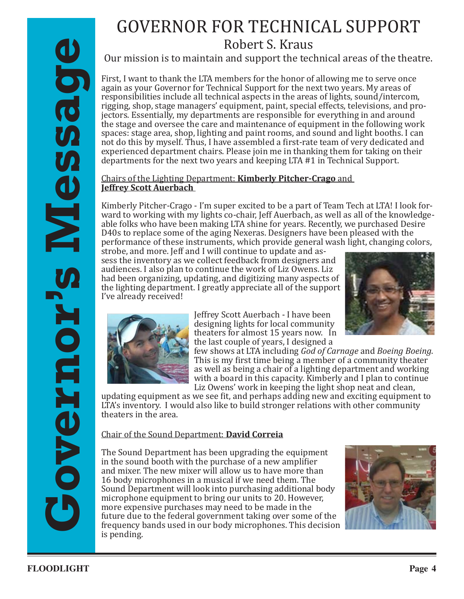# GOVERNOR FOR TECHNICAL SUPPORT

Robert S. Kraus

Our mission is to maintain and support the technical areas of the theatre.

Our entiries the maintain of the main of the control is the control of the main of the control of the main of the main of the main of the main of the main of the main of the main of the main of the main of the main of the First, I want to thank the LTA members for the honor of allowing me to serve once again as your Governor for Technical Support for the next two years. My areas of responsibilities include all technical aspects in the areas of lights, sound/intercom, rigging, shop, stage managers' equipment, paint, special effects, televisions, and projectors. Essentially, my departments are responsible for everything in and around the stage and oversee the care and maintenance of equipment in the following work spaces: stage area, shop, lighting and paint rooms, and sound and light booths. I can not do this by myself. Thus, I have assembled a first-rate team of very dedicated and experienced department chairs. Please join me in thanking them for taking on their departments for the next two years and keeping LTA #1 in Technical Support.

#### Chairs of the Lighting Department: **Kimberly Pitcher-Crago** and **Jeffrey Scott Auerbach**

J Kimberly Pitcher-Crago - I'm super excited to be a part of Team Tech at LTA! I look forward to working with my lights co-chair, Jeff Auerbach, as well as all of the knowledgeable folks who have been making LTA shine for years. Recently, we purchased Desire D40s to replace some of the aging Nexeras. Designers have been pleased with the performance of these instruments, which provide general wash light, changing colors,

strobe, and more. Jeff and I will continue to update and assess the inventory as we collect feedback from designers and audiences. I also plan to continue the work of Liz Owens. Liz had been organizing, updating, and digitizing many aspects of the lighting department. I greatly appreciate all of the support I've already received!





Jeffrey Scott Auerbach - I have been designing lights for local community theaters for almost 15 years now. In the last couple of years, I designed a

few shows at LTA including *God of Carnage* and *Boeing Boeing*. This is my first time being a member of a community theater as well as being a chair of a lighting department and working with a board in this capacity. Kimberly and I plan to continue Liz Owens' work in keeping the light shop neat and clean,

updating equipment as we see fit, and perhaps adding new and exciting equipment to LTA's inventory. I would also like to build stronger relations with other community theaters in the area.

#### Chair of the Sound Department: **David Correia**

The Sound Department has been upgrading the equipment in the sound booth with the purchase of a new amplifier and mixer. The new mixer will allow us to have more than 16 body microphones in a musical if we need them. The Sound Department will look into purchasing additional body microphone equipment to bring our units to 20. However, more expensive purchases may need to be made in the future due to the federal government taking over some of the frequency bands used in our body microphones. This decision is pending.

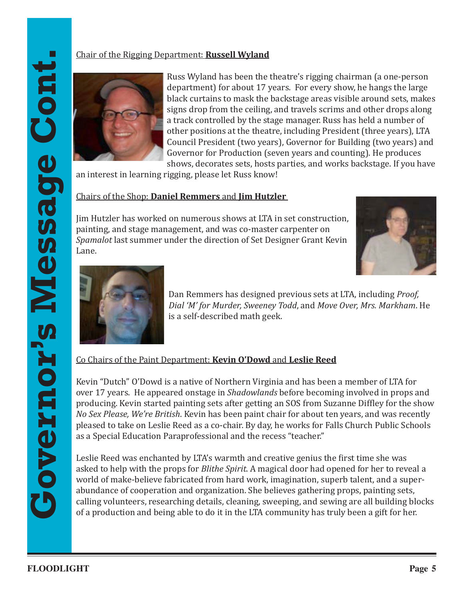#### Chair of the Rigging Department: **Russell Wyland**



Russ Wyland has been the theatre's rigging chairman (a one-person department) for about 17 years. For every show, he hangs the large black curtains to mask the backstage areas visible around sets, makes signs drop from the ceiling, and travels scrims and other drops along a track controlled by the stage manager. Russ has held a number of other positions at the theatre, including President (three years), LTA Council President (two years), Governor for Building (two years) and Governor for Production (seven years and counting). He produces shows, decorates sets, hosts parties, and works backstage. If you have

an interest in learning rigging, please let Russ know!

#### Chairs of the Shop: **Daniel Remmers** and **Jim Hutzler**

Jim Hutzler has worked on numerous shows at LTA in set construction, painting, and stage management, and was co-master carpenter on *Spamalot* last summer under the direction of Set Designer Grant Kevin Lane.





Dan Remmers has designed previous sets at LTA, including *Proof, Dial 'M' for Murder, Sweeney Todd*, and *Move Over, Mrs. Markham*. He is a self-described math geek.

Co Chairs of the Paint Department: **Kevin O'Dowd** and **Leslie Reed**

Kevin "Dutch" O'Dowd is a native of Northern Virginia and has been a member of LTA for over 17 years. He appeared onstage in *Shadowlands* before becoming involved in props and producing. Kevin started painting sets after getting an SOS from Suzanne Diffley for the show *No Sex Please, We're British*. Kevin has been paint chair for about ten years, and was recently pleased to take on Leslie Reed as a co-chair. By day, he works for Falls Church Public Schools as a Special Education Paraprofessional and the recess "teacher."

Leslie Reed was enchanted by LTA's warmth and creative genius the first time she was asked to help with the props for *Blithe Spirit*. A magical door had opened for her to reveal a world of make-believe fabricated from hard work, imagination, superb talent, and a superabundance of cooperation and organization. She believes gathering props, painting sets, calling volunteers, researching details, cleaning, sweeping, and sewing are all building blocks of a production and being able to do it in the LTA community has truly been a gift for her.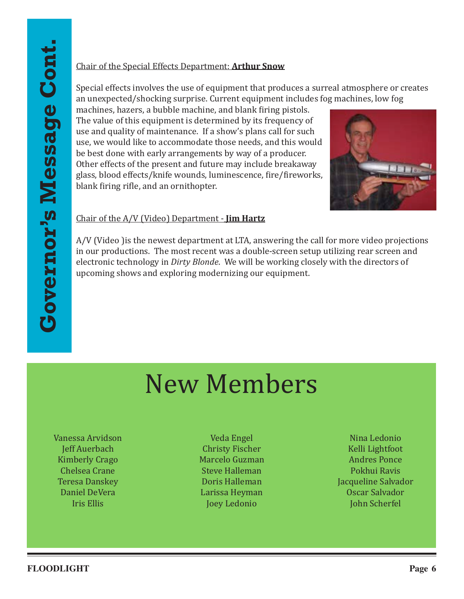#### Chair of the Special Effects Department: **Arthur Snow**

Special effects involves the use of equipment that produces a surreal atmosphere or creates an unexpected/shocking surprise. Current equipment includes fog machines, low fog

machines, hazers, a bubble machine, and blank firing pistols. The value of this equipment is determined by its frequency of use and quality of maintenance. If a show's plans call for such use, we would like to accommodate those needs, and this would be best done with early arrangements by way of a producer. Other effects of the present and future may include breakaway glass, blood effects/knife wounds, luminescence, fire/fireworks, blank firing rifle, and an ornithopter.



#### Chair of the A/V (Video) Department - **Jim Hartz**

A/V (Video )is the newest department at LTA, answering the call for more video projections in our productions. The most recent was a double-screen setup utilizing rear screen and electronic technology in *Dirty Blonde*. We will be working closely with the directors of upcoming shows and exploring modernizing our equipment.

# New Members

Vanessa Arvidson Jeff Auerbach Kimberly Crago Chelsea Crane Teresa Danskey Daniel DeVera Iris Ellis

Veda Engel Christy Fischer Marcelo Guzman Steve Halleman Doris Halleman Larissa Heyman Joey Ledonio

Nina Ledonio Kelli Lightfoot Andres Ponce Pokhui Ravis Jacqueline Salvador Oscar Salvador John Scherfel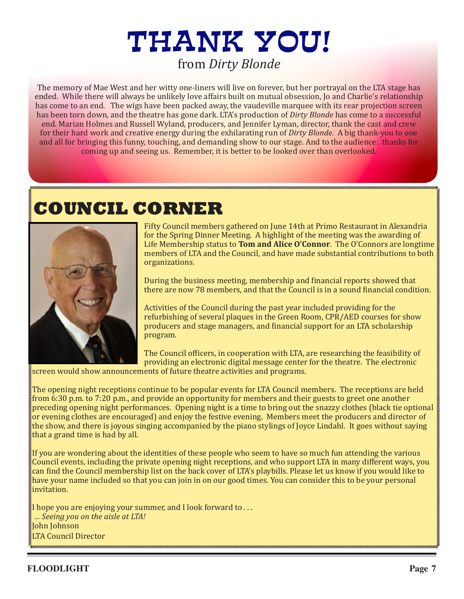# THANK YOU! from *Dirty Blonde*

The memory of Mae West and her witty one-liners will live on forever, but her portrayal on the LTA stage has ended. While there will always be unlikely love affairs built on mutual obsession, Jo and Charlie's relationship has come to an end. The wigs have been packed away, the vaudeville marquee with its rear projection screen has been torn down, and the theatre has gone dark. LTA's production of *Dirty Blonde* has come to a successful end. Marian Holmes and Russell Wyland, producers, and Jennifer Lyman, director, thank the cast and crew for their hard work and creative energy during the exhilarating run of *Dirty Blonde*. A big thank-you to one and all for bringing this funny, touching, and demanding show to our stage. And to the audience: thanks for coming up and seeing us. Remember, it is better to be looked over than overlooked.

# **COUNCIL CORNER**



Fifty Council members gathered on June 14th at Primo Restaurant in Alexandria for the Spring Dinner Meeting. A highlight of the meeting was the awarding of Life Membership status to **Tom and Alice O'Connor**. The O'Connors are longtime members of LTA and the Council, and have made substantial contributions to both organizations.

During the business meeting, membership and financial reports showed that there are now 78 members, and that the Council is in a sound financial condition.

Activities of the Council during the past year included providing for the refurbishing of several plaques in the Green Room, CPR/AED courses for show producers and stage managers, and financial support for an LTA scholarship program.

The Council officers, in cooperation with LTA, are researching the feasibility of providing an electronic digital message center for the theatre. The electronic

screen would show announcements of future theatre activities and programs.

The opening night receptions continue to be popular events for LTA Council members. The receptions are held from 6:30 p.m. to 7:20 p.m., and provide an opportunity for members and their guests to greet one another preceding opening night performances. Opening night is a time to bring out the snazzy clothes (black tie optional or evening clothes are encouraged) and enjoy the festive evening. Members meet the producers and director of the show, and there is joyous singing accompanied by the piano stylings of Joyce Lindahl. It goes without saying that a grand time is had by all.

If you are wondering about the identities of these people who seem to have so much fun attending the various Council events, including the private opening night receptions, and who support LTA in many different ways, you can find the Council membership list on the back cover of LTA's playbills. Please let us know if you would like to have your name included so that you can join in on our good times. You can consider this to be your personal invitation.

I hope you are enjoying your summer, and I look forward to . . .  *… Seeing you on the aisle at LTA!*  John Johnson LTA Council Director